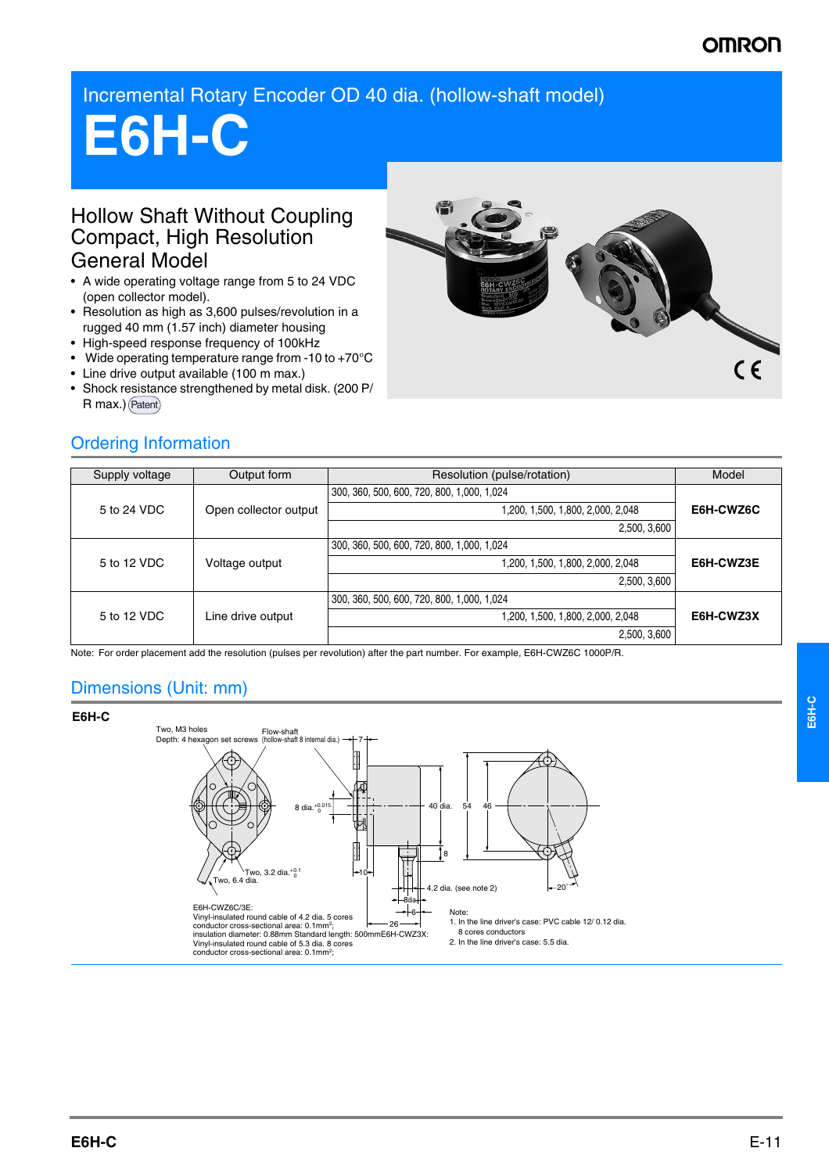## **OMRON**

Incremental Rotary Encoder OD 40 dia. (hollow-shaft model)

# **E6H-C**

#### Hollow Shaft Without Coupling Compact, High Resolution General Model

- A wide operating voltage range from 5 to 24 VDC (open collector model).
- Resolution as high as 3,600 pulses/revolution in a rugged 40 mm (1.57 inch) diameter housing
- High-speed response frequency of 100kHz
- Wide operating temperature range from -10 to +70°C
- Line drive output available (100 m max.)
- Shock resistance strengthened by metal disk. (200 P/ R max.) (Patent)



#### Ordering Information

| Supply voltage | Output form           | Resolution (pulse/rotation)                | Model     |
|----------------|-----------------------|--------------------------------------------|-----------|
| 5 to 24 VDC    | Open collector output | 300, 360, 500, 600, 720, 800, 1,000, 1,024 | E6H-CWZ6C |
|                |                       | 1,200, 1,500, 1,800, 2,000, 2,048          |           |
|                |                       | 2,500, 3,600                               |           |
| 5 to 12 VDC    | Voltage output        | 300, 360, 500, 600, 720, 800, 1,000, 1,024 | E6H-CWZ3E |
|                |                       | 1,200, 1,500, 1,800, 2,000, 2,048          |           |
|                |                       | 2,500, 3,600                               |           |
| 5 to 12 VDC    | Line drive output     | 300, 360, 500, 600, 720, 800, 1,000, 1,024 | E6H-CWZ3X |
|                |                       | 1,200, 1,500, 1,800, 2,000, 2,048          |           |
|                |                       | 2,500, 3,600                               |           |

Note: For order placement add the resolution (pulses per revolution) after the part number. For example, E6H-CWZ6C 1000P/R.

### Dimensions (Unit: mm)